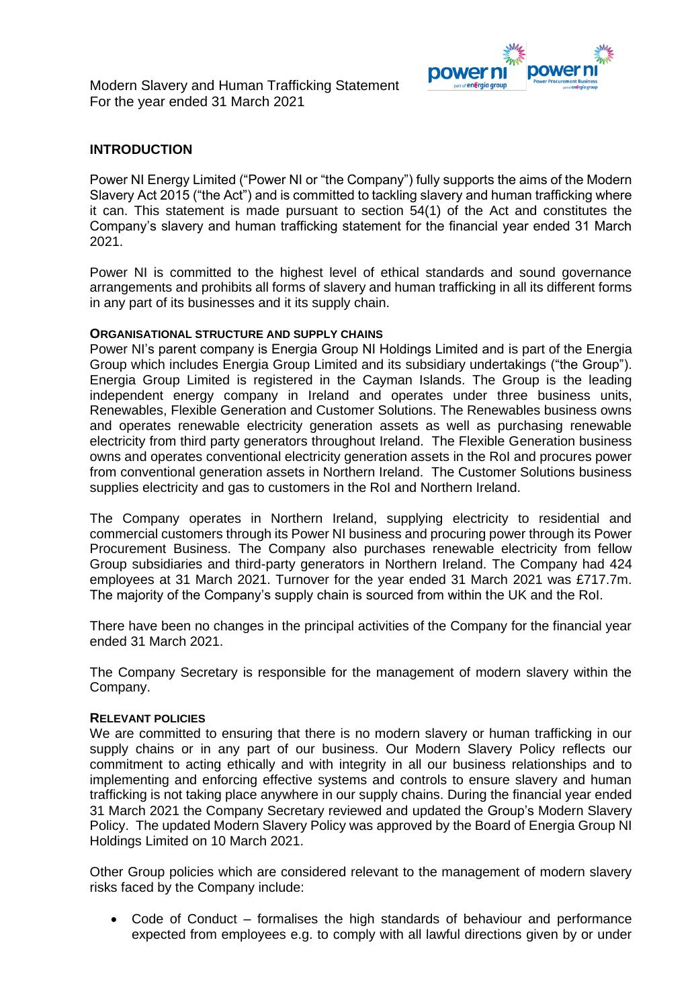Modern Slavery and Human Trafficking Statement For the year ended 31 March 2021



# **INTRODUCTION**

Power NI Energy Limited ("Power NI or "the Company") fully supports the aims of the Modern Slavery Act 2015 ("the Act") and is committed to tackling slavery and human trafficking where it can. This statement is made pursuant to section 54(1) of the Act and constitutes the Company's slavery and human trafficking statement for the financial year ended 31 March 2021.

Power NI is committed to the highest level of ethical standards and sound governance arrangements and prohibits all forms of slavery and human trafficking in all its different forms in any part of its businesses and it its supply chain.

#### **ORGANISATIONAL STRUCTURE AND SUPPLY CHAINS**

Power NI's parent company is Energia Group NI Holdings Limited and is part of the Energia Group which includes Energia Group Limited and its subsidiary undertakings ("the Group"). Energia Group Limited is registered in the Cayman Islands. The Group is the leading independent energy company in Ireland and operates under three business units, Renewables, Flexible Generation and Customer Solutions. The Renewables business owns and operates renewable electricity generation assets as well as purchasing renewable electricity from third party generators throughout Ireland. The Flexible Generation business owns and operates conventional electricity generation assets in the RoI and procures power from conventional generation assets in Northern Ireland. The Customer Solutions business supplies electricity and gas to customers in the RoI and Northern Ireland.

The Company operates in Northern Ireland, supplying electricity to residential and commercial customers through its Power NI business and procuring power through its Power Procurement Business. The Company also purchases renewable electricity from fellow Group subsidiaries and third-party generators in Northern Ireland. The Company had 424 employees at 31 March 2021. Turnover for the year ended 31 March 2021 was £717.7m. The majority of the Company's supply chain is sourced from within the UK and the RoI.

There have been no changes in the principal activities of the Company for the financial year ended 31 March 2021.

The Company Secretary is responsible for the management of modern slavery within the Company.

## **RELEVANT POLICIES**

We are committed to ensuring that there is no modern slavery or human trafficking in our supply chains or in any part of our business. Our Modern Slavery Policy reflects our commitment to acting ethically and with integrity in all our business relationships and to implementing and enforcing effective systems and controls to ensure slavery and human trafficking is not taking place anywhere in our supply chains. During the financial year ended 31 March 2021 the Company Secretary reviewed and updated the Group's Modern Slavery Policy. The updated Modern Slavery Policy was approved by the Board of Energia Group NI Holdings Limited on 10 March 2021.

Other Group policies which are considered relevant to the management of modern slavery risks faced by the Company include:

• Code of Conduct – formalises the high standards of behaviour and performance expected from employees e.g. to comply with all lawful directions given by or under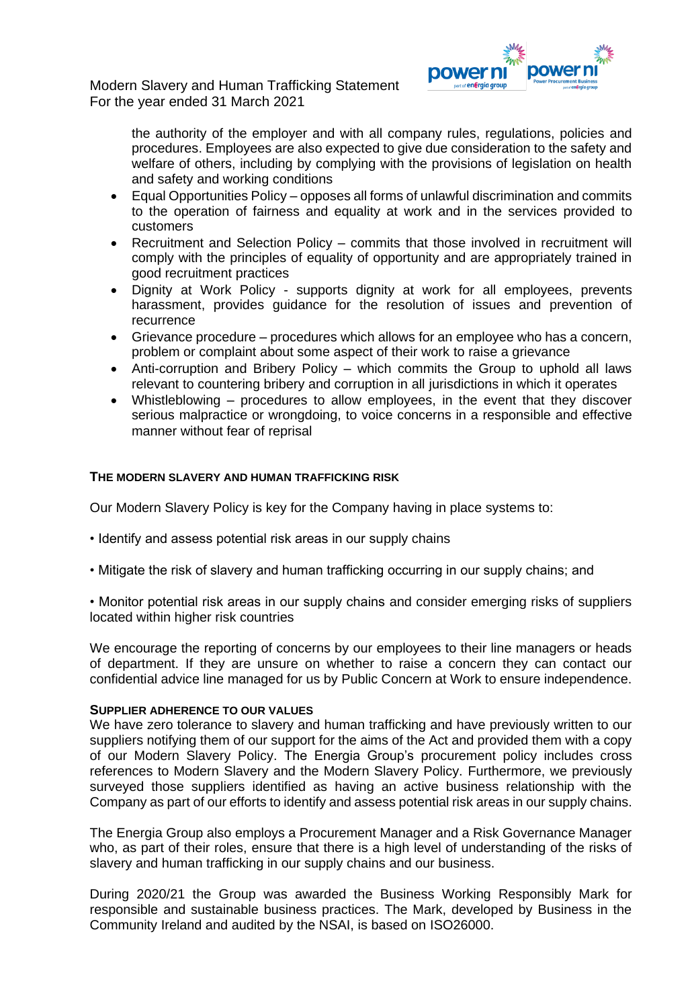Modern Slavery and Human Trafficking Statement For the year ended 31 March 2021



the authority of the employer and with all company rules, regulations, policies and procedures. Employees are also expected to give due consideration to the safety and welfare of others, including by complying with the provisions of legislation on health and safety and working conditions

- Equal Opportunities Policy opposes all forms of unlawful discrimination and commits to the operation of fairness and equality at work and in the services provided to customers
- Recruitment and Selection Policy commits that those involved in recruitment will comply with the principles of equality of opportunity and are appropriately trained in good recruitment practices
- Dignity at Work Policy supports dignity at work for all employees, prevents harassment, provides guidance for the resolution of issues and prevention of recurrence
- Grievance procedure procedures which allows for an employee who has a concern, problem or complaint about some aspect of their work to raise a grievance
- Anti-corruption and Bribery Policy which commits the Group to uphold all laws relevant to countering bribery and corruption in all jurisdictions in which it operates
- Whistleblowing procedures to allow employees, in the event that they discover serious malpractice or wrongdoing, to voice concerns in a responsible and effective manner without fear of reprisal

## **THE MODERN SLAVERY AND HUMAN TRAFFICKING RISK**

Our Modern Slavery Policy is key for the Company having in place systems to:

- Identify and assess potential risk areas in our supply chains
- Mitigate the risk of slavery and human trafficking occurring in our supply chains; and
- Monitor potential risk areas in our supply chains and consider emerging risks of suppliers located within higher risk countries

We encourage the reporting of concerns by our employees to their line managers or heads of department. If they are unsure on whether to raise a concern they can contact our confidential advice line managed for us by Public Concern at Work to ensure independence.

#### **SUPPLIER ADHERENCE TO OUR VALUES**

We have zero tolerance to slavery and human trafficking and have previously written to our suppliers notifying them of our support for the aims of the Act and provided them with a copy of our Modern Slavery Policy. The Energia Group's procurement policy includes cross references to Modern Slavery and the Modern Slavery Policy. Furthermore, we previously surveyed those suppliers identified as having an active business relationship with the Company as part of our efforts to identify and assess potential risk areas in our supply chains.

The Energia Group also employs a Procurement Manager and a Risk Governance Manager who, as part of their roles, ensure that there is a high level of understanding of the risks of slavery and human trafficking in our supply chains and our business.

During 2020/21 the Group was awarded the Business Working Responsibly Mark for responsible and sustainable business practices. The Mark, developed by Business in the Community Ireland and audited by the NSAI, is based on ISO26000.